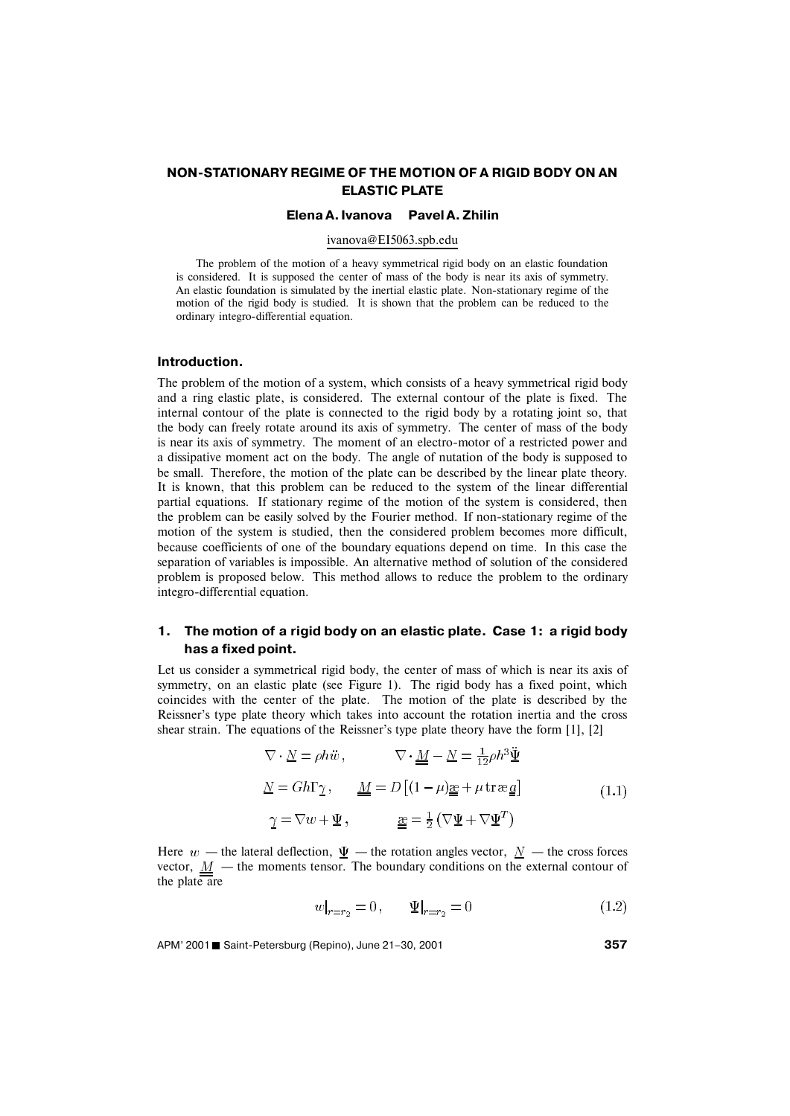# **NON-STATIONARY REGIME OF THE MOTION OF A RIGID BODY ON AN ELASTIC PLATE**

### **Elena A. Ivanova Pavel A. Zhilin**

### ivanova@EI5063.spb.edu

The problem of the motion of a heavy symmetrical rigid body on an elastic foundation is considered. It is supposed the center of mass of the body is near its axis of symmetry. An elastic foundation is simulated by the inertial elastic plate. Non-stationary regime of the motion of the rigid body is studied. It is shown that the problem can be reduced to the ordinary integro-differential equation.

### **Introduction.**

The problem of the motion of a system, which consists of a heavy symmetrical rigid body and a ring elastic plate, is considered. The external contour of the plate is fixed. The internal contour of the plate is connected to the rigid body by a rotating joint so, that the body can freely rotate around its axis of symmetry. The center of mass of the body is near its axis of symmetry. The moment of an electro-motor of a restricted power and a dissipative moment act on the body. The angle of nutation of the body is supposed to be small. Therefore, the motion of the plate can be described by the linear plate theory. It is known, that this problem can be reduced to the system of the linear differential partial equations. If stationary regime of the motion of the system is considered, then the problem can be easily solved by the Fourier method. If non-stationary regime of the motion of the system is studied, then the considered problem becomes more difficult, because coefficients of one of the boundary equations depend on time. In this case the separation of variables is impossible. An alternative method of solution of the considered problem is proposed below. This method allows to reduce the problem to the ordinary integro-differential equation.

## **1. The motion of a rigid body on an elastic plate. Case 1: a rigid body has a fixed point.**

Let us consider a symmetrical rigid body, the center of mass of which is near its axis of symmetry, on an elastic plate (see Figure 1). The rigid body has a fixed point, which coincides with the center of the plate. The motion of the plate is described by the Reissner's type plate theory which takes into account the rotation inertia and the cross shear strain. The equations of the Reissner's type plate theory have the form [1], [2]

$$
\nabla \cdot \underline{N} = \rho h \ddot{w}, \qquad \nabla \cdot \underline{M} - \underline{N} = \frac{1}{12} \rho h^3 \underline{\ddot{\Psi}}
$$

$$
\underline{N} = Gh\Gamma \gamma, \qquad \underline{M} = D \left[ (1 - \mu) \underline{\mathfrak{g}} + \mu \operatorname{tr} \underline{\mathfrak{g}} \underline{\mathfrak{g}} \right]
$$

$$
\gamma = \nabla w + \underline{\Psi}, \qquad \underline{\mathfrak{g}} = \frac{1}{2} \left( \nabla \underline{\Psi} + \nabla \underline{\Psi}^T \right)
$$
(1.1)

Here  $w$  — the lateral deflection,  $\underline{\Psi}$  — the rotation angles vector,  $\underline{N}$  — the cross forces vector,  $\underline{M}$  – the moments tensor. The boundary conditions on the external contour of the plate are

$$
w|_{r=r_2} = 0, \qquad \Psi|_{r=r_2} = 0 \tag{1.2}
$$

APM' 2001 Saint-Petersburg (Repino), June 21–30, 2001 **<sup>357</sup>**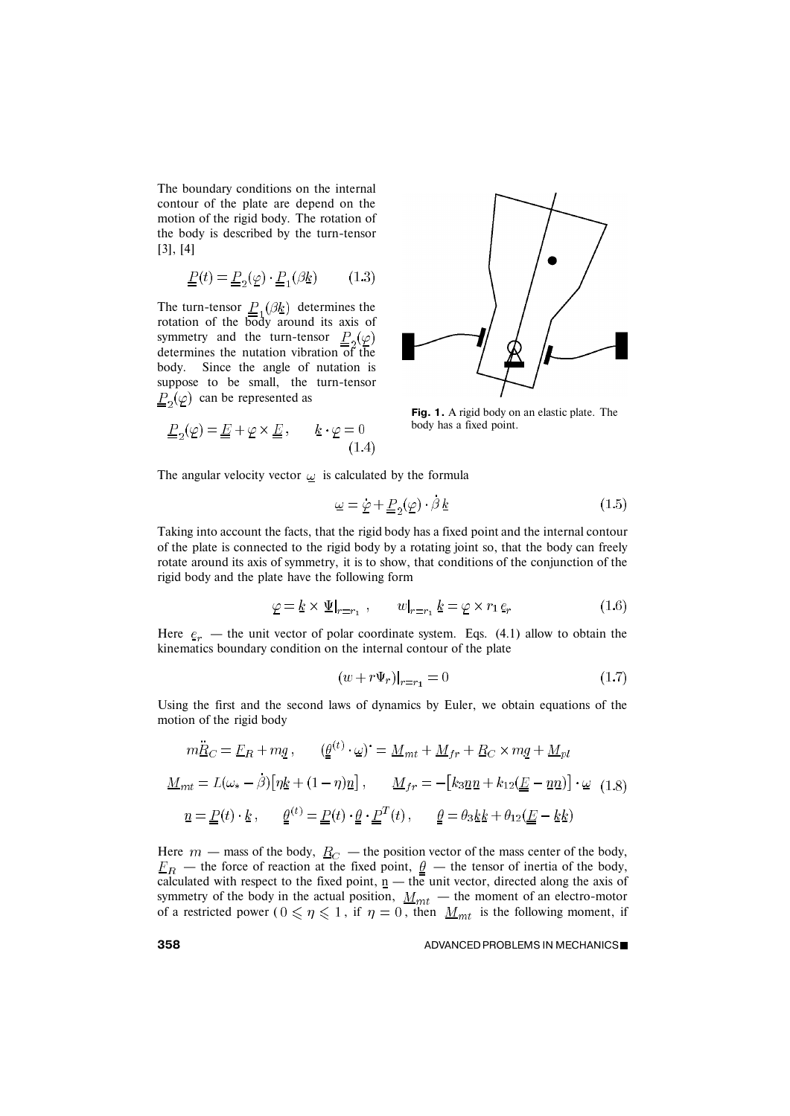The boundary conditions on the internal contour of the plate are depend on the motion of the rigid body. The rotation of the body is described by the turn-tensor [3], [4]

$$
\underline{P}(t) = \underline{P}_2(\underline{\varphi}) \cdot \underline{P}_1(\beta \underline{k}) \tag{1.3}
$$

The turn-tensor  $P_{1}(\beta k)$  determines the rotation of the body around its axis of symmetry and the turn-tensor  $\underline{P}_2(\underline{\varphi})$ determines the nutation vibration of the body. Since the angle of nutation is suppose to be small, the turn-tensor  $\underline{P}_2(\varphi)$  can be represented as

$$
\underline{P}_2(\underline{\varphi}) = \underline{E} + \underline{\varphi} \times \underline{E} \,, \qquad \underline{k} \cdot \underline{\varphi} = 0 \tag{1.4}
$$



**Fig. 1.** A rigid body on an elastic plate. The body has a fixed point.

The angular velocity vector  $\omega$  is calculated by the formula

$$
\underline{\omega} = \underline{\dot{\varphi}} + \underline{P}_2(\underline{\varphi}) \cdot \beta \underline{k} \tag{1.5}
$$

Taking into account the facts, that the rigid body has a fixed point and the internal contour of the plate is connected to the rigid body by a rotating joint so, that the body can freely rotate around its axis of symmetry, it is to show, that conditions of the conjunction of the rigid body and the plate have the following form

$$
\underline{\varphi} = \underline{k} \times \underline{\Psi}|_{r=r_1} , \qquad w|_{r=r_1} \underline{k} = \underline{\varphi} \times r_1 \underline{e}_r
$$
 (1.6)

Here  $e_r$  — the unit vector of polar coordinate system. Eqs. (4.1) allow to obtain the kinematics boundary condition on the internal contour of the plate

$$
(w + r\Psi_r)|_{r=r_1} = 0\tag{1.7}
$$

Using the first and the second laws of dynamics by Euler, we obtain equations of the motion of the rigid body

$$
m\ddot{R}_C = E_R + m\dot{q}, \qquad (\underline{\theta}^{(t)} \cdot \underline{\omega})^* = \underline{M}_{mt} + \underline{M}_{fr} + \underline{R}_C \times m\underline{q} + \underline{M}_{pl}
$$
  

$$
\underline{M}_{mt} = L(\omega_* - \dot{\beta}) \left[ \eta \underline{k} + (1 - \eta)\underline{n} \right], \qquad \underline{M}_{fr} = -[k_3 \underline{n} \underline{n} + k_{12}(\underline{E} - \underline{n} \underline{n})] \cdot \underline{\omega} \quad (1.8)
$$
  

$$
\underline{n} = \underline{P}(t) \cdot \underline{k}, \qquad \underline{\underline{\theta}}^{(t)} = \underline{P}(t) \cdot \underline{\theta} \cdot \underline{P}^T(t), \qquad \underline{\underline{\theta}} = \theta_3 \underline{k} \underline{k} + \theta_{12}(\underline{E} - \underline{k} \underline{k})
$$

Here  $m$  — mass of the body,  $R_C$  — the position vector of the mass center of the body, — the force of reaction at the fixed point,  $\theta$  — the tensor of inertia of the body, calculated with respect to the fixed point,  $n -$  the unit vector, directed along the axis of symmetry of the body in the actual position,  $M_{mt}$  — the moment of an electro-motor of a restricted power ( $0 \le \eta \le 1$ , if  $\eta = 0$ , then  $M_{mt}$  is the following moment, if

#### **358 ADVANCED PROBLEMS IN MECHANICS■**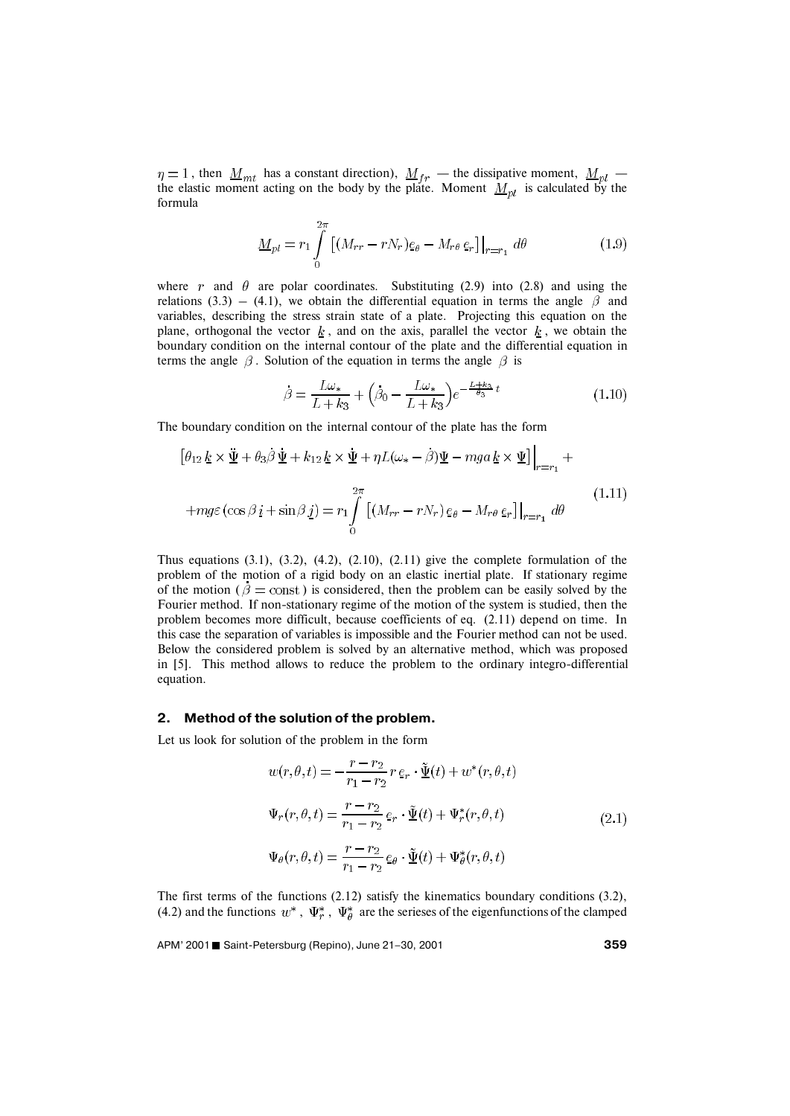, then  $M_{\text{int}}$  has a constant direction),  $M_{\text{fr}}$  — the dissipative moment,  $M_{\text{nl}}$  the elastic moment acting on the body by the plate. Moment  $M_{nl}$  is calculated by the formula

$$
\underline{M}_{pl} = r_1 \int_0^{2\pi} \left[ (M_{rr} - rN_r) \underline{e}_{\theta} - M_{r\theta} \underline{e}_r \right] \Big|_{r=r_1} d\theta \tag{1.9}
$$

where r and  $\theta$  are polar coordinates. Substituting (2.9) into (2.8) and using the relations (3.3) – (4.1), we obtain the differential equation in terms the angle  $\beta$  and variables, describing the stress strain state of a plate. Projecting this equation on the plane, orthogonal the vector  $k$ , and on the axis, parallel the vector  $k$ , we obtain the boundary condition on the internal contour of the plate and the differential equation in terms the angle  $\beta$ . Solution of the equation in terms the angle  $\beta$  is

$$
\dot{\beta} = \frac{L\omega_*}{L + k_3} + \left(\dot{\beta}_0 - \frac{L\omega_*}{L + k_3}\right)e^{-\frac{L + k_3}{\theta_3}t}
$$
(1.10)

The boundary condition on the internal contour of the plate has the form

$$
\left[\theta_{12} \underline{k} \times \underline{\ddot{\Psi}} + \theta_3 \dot{\beta} \underline{\dot{\Psi}} + k_{12} \underline{k} \times \underline{\dot{\Psi}} + \eta L(\omega_* - \beta) \underline{\Psi} - mga \underline{k} \times \underline{\Psi}\right]\Big|_{r=r_1} +
$$
  
+
$$
+ mg\varepsilon \left(\cos \beta \underline{i} + \sin \beta \underline{j}\right) = r_1 \int_0^{2\pi} \left[ \left(M_{rr} - rN_r\right) \underline{e}_{\theta} - M_{r\theta} \underline{e}_r \right]\Big|_{r=r_1} d\theta \tag{1.11}
$$

Thus equations  $(3.1)$ ,  $(3.2)$ ,  $(4.2)$ ,  $(2.10)$ ,  $(2.11)$  give the complete formulation of the problem of the motion of a rigid body on an elastic inertial plate. If stationary regime of the motion ( $\beta$  = const) is considered, then the problem can be easily solved by the Fourier method. If non-stationary regime of the motion of the system is studied, then the problem becomes more difficult, because coefficients of eq. (2.11) depend on time. In this case the separation of variables is impossible and the Fourier method can not be used. Below the considered problem is solved by an alternative method, which was proposed in [5]. This method allows to reduce the problem to the ordinary integro-differential equation.

## **2. Method of the solution of the problem.**

Let us look for solution of the problem in the form

$$
w(r, \theta, t) = -\frac{r - r_2}{r_1 - r_2} r \, \underline{\tilde{\Psi}}(t) + w^*(r, \theta, t)
$$
  

$$
\Psi_r(r, \theta, t) = \frac{r - r_2}{r_1 - r_2} \, \underline{\tilde{\Psi}}(t) + \Psi_r^*(r, \theta, t)
$$
  

$$
\Psi_\theta(r, \theta, t) = \frac{r - r_2}{r_1 - r_2} \, \underline{\tilde{\Psi}}(t) + \Psi_\theta^*(r, \theta, t)
$$
\n(2.1)

The first terms of the functions (2.12) satisfy the kinematics boundary conditions (3.2), (4.2) and the functions  $w^*$ ,  $\Psi_r^*$ ,  $\Psi_{\theta}^*$  are the serieses of the eigenfunctions of the clamped

APM' 2001 Saint-Petersburg (Repino), June 21–30, 2001 **<sup>359</sup>**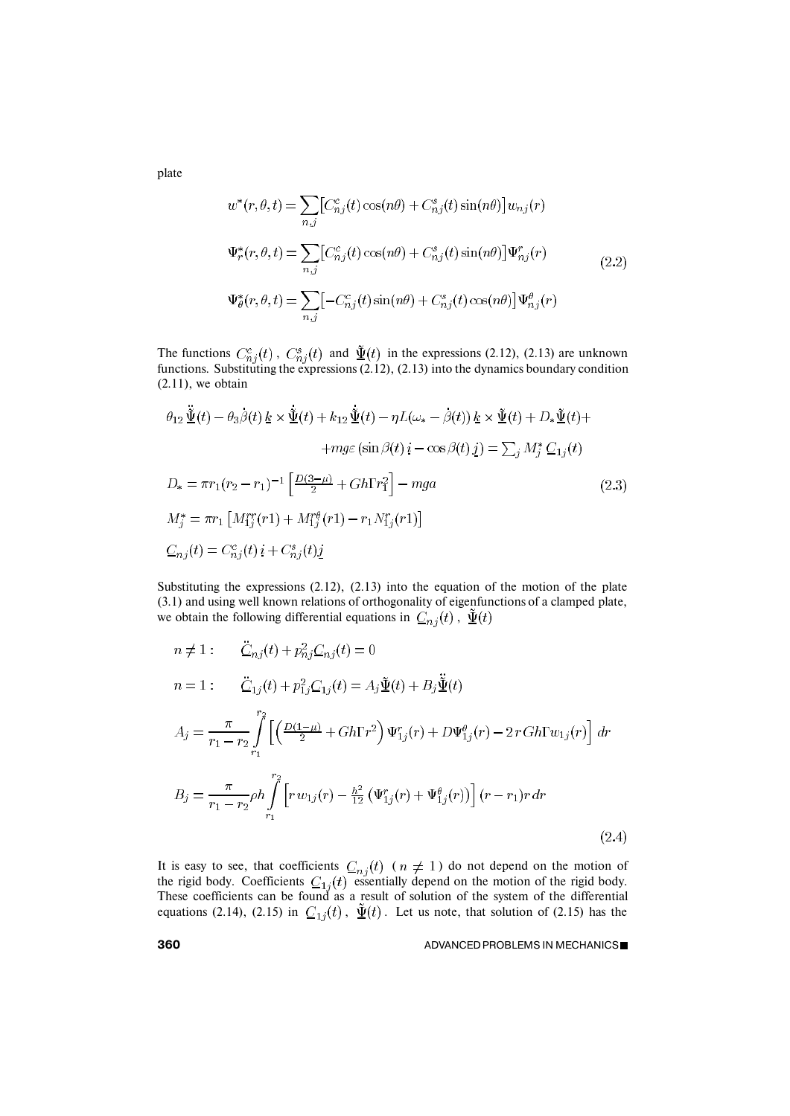plate

$$
w^*(r, \theta, t) = \sum_{n,j} \left[ C_{nj}^c(t) \cos(n\theta) + C_{nj}^s(t) \sin(n\theta) \right] w_{nj}(r)
$$
  

$$
\Psi_r^*(r, \theta, t) = \sum_{n,j} \left[ C_{nj}^c(t) \cos(n\theta) + C_{nj}^s(t) \sin(n\theta) \right] \Psi_{nj}^r(r)
$$
  

$$
\Psi_\theta^*(r, \theta, t) = \sum_{n,j} \left[ -C_{nj}^c(t) \sin(n\theta) + C_{nj}^s(t) \cos(n\theta) \right] \Psi_{nj}^\theta(r)
$$
 (2.2)

The functions  $C_{n,i}^c(t)$ ,  $C_{n,i}^s(t)$  and  $\Psi(t)$  in the expressions (2.12), (2.13) are unknown functions. Substituting the expressions (2.12), (2.13) into the dynamics boundary condition  $(2.11)$ , we obtain

$$
\theta_{12} \ddot{\tilde{\Psi}}(t) - \theta_3 \beta(t) \underline{k} \times \ddot{\tilde{\Psi}}(t) + k_{12} \ddot{\tilde{\Psi}}(t) - \eta L(\omega_* - \beta(t)) \underline{k} \times \ddot{\tilde{\Psi}}(t) + D_* \ddot{\tilde{\Psi}}(t) ++ mg\varepsilon (\sin \beta(t) i - \cos \beta(t) j) = \sum_j M_j^* C_{1j}(t) \nD_* = \pi r_1 (r_2 - r_1)^{-1} \left[ \frac{D(3-\mu)}{2} + Gh \Gamma r_1^2 \right] - mga
$$
\n(2.3)  
\n
$$
M_j^* = \pi r_1 \left[ M_{1j}^{rr}(r_1) + M_{1j}^{r\theta}(r_1) - r_1 N_{1j}^{r}(r_1) \right]
$$
\n
$$
C_{nj}(t) = C_{nj}^c(t) i + C_{nj}^s(t) j
$$

Substituting the expressions (2.12), (2.13) into the equation of the motion of the plate (3.1) and using well known relations of orthogonality of eigenfunctions of a clamped plate, we obtain the following differential equations in  $C_{nj}(t)$ ,  $\tilde{\Psi}(t)$ 

$$
n \neq 1: \quad \underline{\ddot{C}}_{nj}(t) + p_{nj}^2 \underline{C}_{nj}(t) = 0
$$
  
\n
$$
n = 1: \quad \underline{\ddot{C}}_{1j}(t) + p_{1j}^2 \underline{C}_{1j}(t) = A_j \underline{\tilde{\Psi}}(t) + B_j \underline{\tilde{\Psi}}(t)
$$
  
\n
$$
A_j = \frac{\pi}{r_1 - r_2} \int_{r_1}^{r_2} \left[ \left( \frac{D(1-\mu)}{2} + Gh\Gamma r^2 \right) \Psi_{1j}^r(r) + D\Psi_{1j}^{\theta}(r) - 2r G h\Gamma w_{1j}(r) \right] dr
$$
  
\n
$$
B_j = \frac{\pi}{r_1 - r_2} \rho h \int_{r_1}^{r_2} \left[ r w_{1j}(r) - \frac{h^2}{12} \left( \Psi_{1j}^r(r) + \Psi_{1j}^{\theta}(r) \right) \right] (r - r_1) r dr
$$
  
\n(2.4)

It is easy to see, that coefficients  $C_{n,i}(t)$  ( $n \neq 1$ ) do not depend on the motion of the rigid body. Coefficients  $C_{1i}(t)$  essentially depend on the motion of the rigid body. These coefficients can be found as a result of solution of the system of the differential equations (2.14), (2.15) in  $C_{1i}(t)$ ,  $\Psi(t)$ . Let us note, that solution of (2.15) has the

**360 ADVANCED PROBLEMS IN MECHANICS■**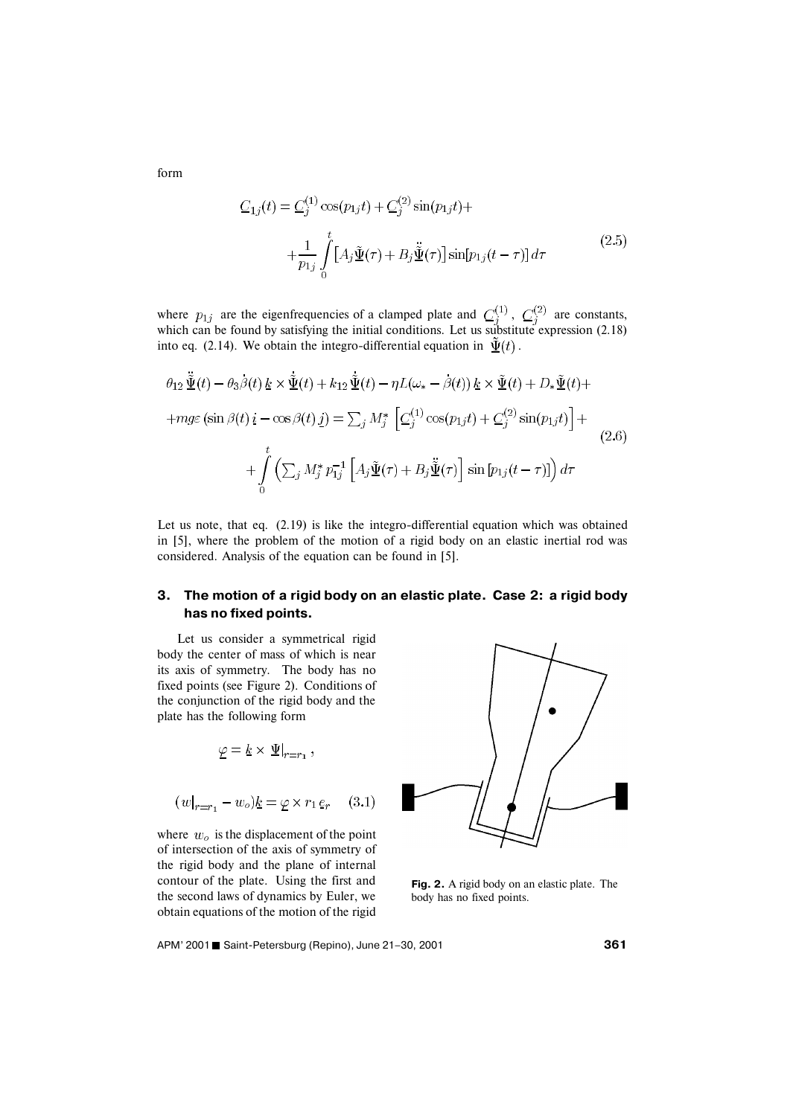$$
C_{1j}(t) = C_j^{(1)} \cos(p_{1j}t) + C_j^{(2)} \sin(p_{1j}t) +
$$
  
+
$$
\frac{1}{p_{1j}} \int_0^t [A_j \tilde{\underline{\Psi}}(\tau) + B_j \tilde{\underline{\Psi}}(\tau)] \sin[p_{1j}(t-\tau)] d\tau
$$
(2.5)

where  $p_{1i}$  are the eigenfrequencies of a clamped plate and  $C_i^{(1)}$ ,  $C_i^{(2)}$  are constants, which can be found by satisfying the initial conditions. Let us substitute expression (2.18) into eq. (2.14). We obtain the integro-differential equation in  $\tilde{\Psi}(t)$ .

$$
\theta_{12} \tilde{\Psi}(t) - \theta_3 \beta(t) \underline{k} \times \tilde{\Psi}(t) + k_{12} \tilde{\Psi}(t) - \eta L(\omega_* - \beta(t)) \underline{k} \times \tilde{\Psi}(t) + D_* \tilde{\Psi}(t) +
$$
  
+
$$
+ mg\varepsilon (\sin \beta(t) i - \cos \beta(t) j) = \sum_j M_j^* \left[ C_j^{(1)} \cos(p_{1j}t) + C_j^{(2)} \sin(p_{1j}t) \right] +
$$
  
+
$$
\int_0^t \left( \sum_j M_j^* p_{1j}^{-1} \left[ A_j \tilde{\Psi}(\tau) + B_j \tilde{\Psi}(\tau) \right] \sin[p_{1j}(t - \tau)] \right) d\tau
$$
 (2.6)

Let us note, that eq.  $(2.19)$  is like the integro-differential equation which was obtained in [5], where the problem of the motion of a rigid body on an elastic inertial rod was considered. Analysis of the equation can be found in [5].

# **3. The motion of a rigid body on an elastic plate. Case 2: a rigid body has no fixed points.**

Let us consider a symmetrical rigid body the center of mass of which is near its axis of symmetry. The body has no fixed points (see Figure 2). Conditions of the conjunction of the rigid body and the plate has the following form

$$
\underline{\varphi} = \underline{k} \times \underline{\Psi}|_{r=r_1},
$$

$$
(w|_{r=r_1} - w_o) \underline{k} = \underline{\varphi} \times r_1 \underline{e}_r \quad (3.1)
$$

where  $w<sub>o</sub>$  is the displacement of the point of intersection of the axis of symmetry of the rigid body and the plane of internal contour of the plate. Using the first and the second laws of dynamics by Euler, we obtain equations of the motion of the rigid



**Fig. 2.** A rigid body on an elastic plate. The body has no fixed points.

APM' 2001 Saint-Petersburg (Repino), June 21–30, 2001 **<sup>361</sup>**

form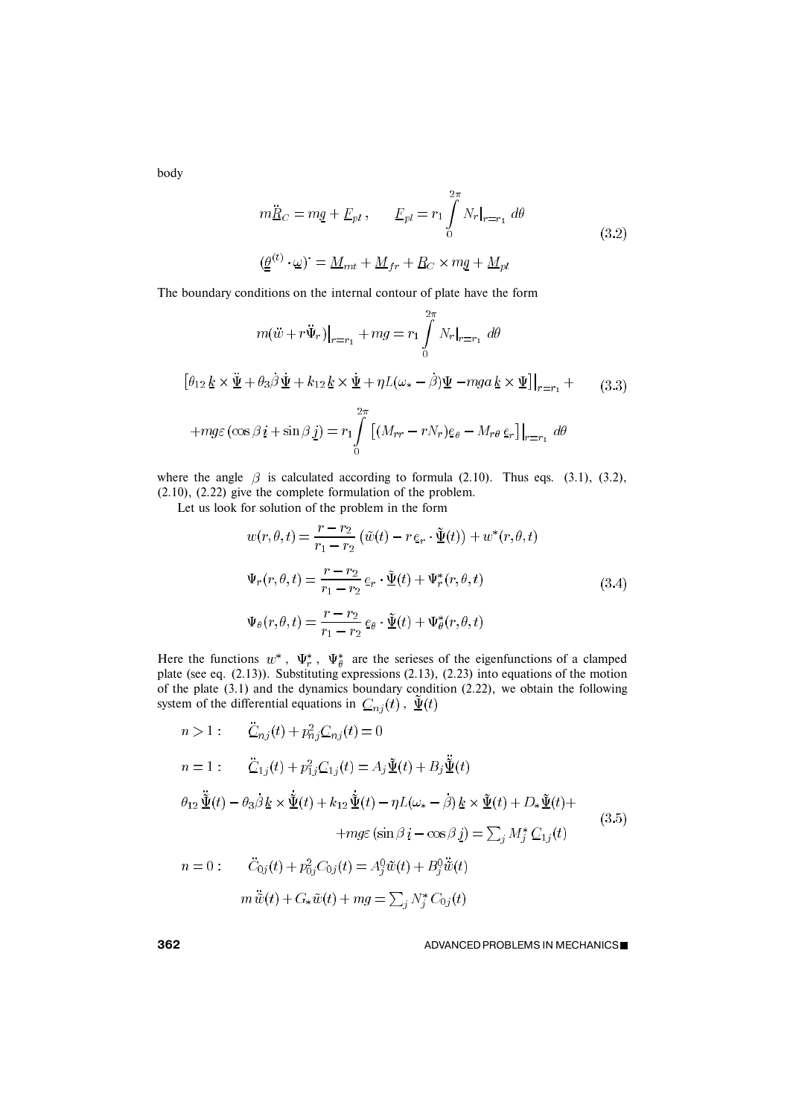body

$$
m\ddot{R}_C = mg + E_{pl}, \qquad E_{pl} = r_1 \int_0^{2\pi} N_r|_{r=r_1} d\theta
$$
  

$$
(\underline{\theta}^{(t)} \cdot \underline{\omega})^{\cdot} = \underline{M}_{mt} + \underline{M}_{fr} + \underline{R}_C \times m\underline{q} + \underline{M}_{pl}
$$
(3.2)

The boundary conditions on the internal contour of plate have the form

$$
m(\ddot{w} + r\ddot{\Psi}_r)|_{r=r_1} + mg = r_1 \int_0^{2\pi} N_r|_{r=r_1} d\theta
$$
  

$$
[\theta_{12} \underline{k} \times \ddot{\underline{\Psi}} + \theta_3 \dot{\beta} \underline{\Psi} + k_{12} \underline{k} \times \dot{\underline{\Psi}} + \eta L(\omega_* - \beta) \underline{\Psi} - mga \underline{k} \times \underline{\Psi}]|_{r=r_1} +
$$
  

$$
+ mg\varepsilon (\cos \beta i + \sin \beta j) = r_1 \int_0^{2\pi} \left[ (M_{rr} - rN_r)\underline{e}_{\theta} - M_{r\theta} \underline{e}_r \right]|_{r=r_1} d\theta
$$
 (3.3)

where the angle  $\beta$  is calculated according to formula (2.10). Thus eqs. (3.1), (3.2), (2.10), (2.22) give the complete formulation of the problem.

Let us look for solution of the problem in the form

$$
w(r, \theta, t) = \frac{r - r_2}{r_1 - r_2} \left( \tilde{w}(t) - r \, \underline{e}_r \cdot \tilde{\underline{\Psi}}(t) \right) + w^*(r, \theta, t)
$$
  

$$
\Psi_r(r, \theta, t) = \frac{r - r_2}{r_1 - r_2} \, \underline{e}_r \cdot \tilde{\underline{\Psi}}(t) + \Psi_r^*(r, \theta, t)
$$
  

$$
\Psi_\theta(r, \theta, t) = \frac{r - r_2}{r_1 - r_2} \, \underline{e}_\theta \cdot \tilde{\underline{\Psi}}(t) + \Psi_\theta^*(r, \theta, t)
$$
\n(3.4)

Here the functions  $w^*$ ,  $\Psi^*_r$ ,  $\Psi^*_q$  are the serieses of the eigenfunctions of a clamped plate (see eq. (2.13)). Substituting expressions (2.13), (2.23) into equations of the motion of the plate  $(3.1)$  and the dynamics boundary condition  $(2.22)$ , we obtain the following system of the differential equations in  $C_{nj}(t)$ ,  $\tilde{\Psi}(t)$ 

$$
n > 1: \n\ddot{C}_{nj}(t) + p_{nj}^2 C_{nj}(t) = 0
$$
\n
$$
n = 1: \n\ddot{C}_{1j}(t) + p_{1j}^2 C_{1j}(t) = A_j \tilde{\Psi}(t) + B_j \tilde{\Psi}(t)
$$
\n
$$
\theta_{12} \tilde{\Psi}(t) - \theta_3 \beta \underline{k} \times \tilde{\Psi}(t) + k_{12} \tilde{\Psi}(t) - \eta L(\omega_* - \beta) \underline{k} \times \tilde{\Psi}(t) + D_* \tilde{\Psi}(t) +
$$
\n
$$
+ mg\varepsilon (\sin \beta \underline{i} - \cos \beta \underline{j}) = \sum_j M_j^* C_{1j}(t)
$$
\n
$$
n = 0: \n\ddot{C}_{0j}(t) + p_{0j}^2 C_{0j}(t) = A_j^0 \tilde{w}(t) + B_j^0 \tilde{\ddot{w}}(t)
$$
\n
$$
m \ddot{\ddot{w}}(t) + G_* \tilde{w}(t) + mg = \sum_j N_j^* C_{0j}(t)
$$
\n
$$
(3.5)
$$

**362** ADVANCED PROBLEMS IN MECHANICS■